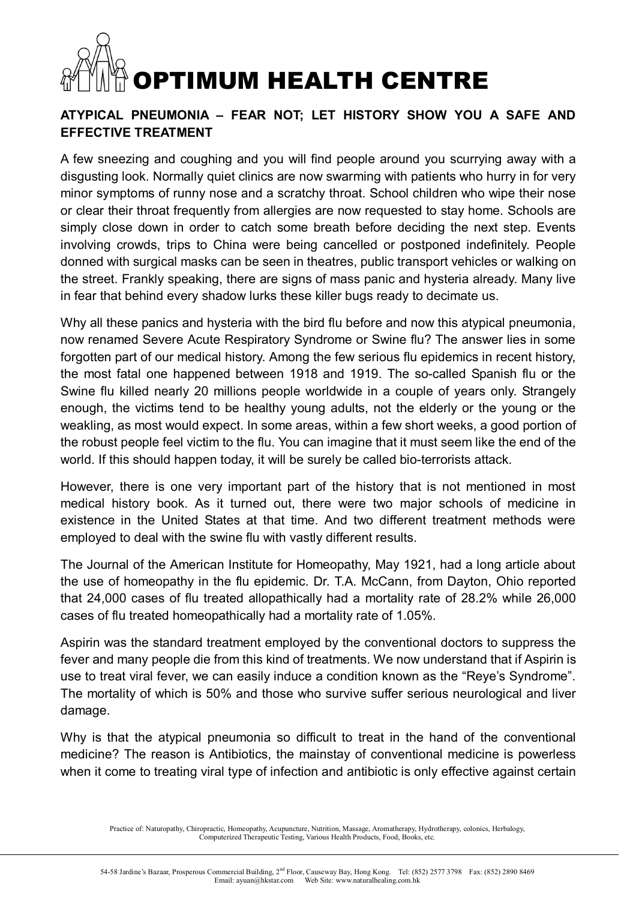#### **ATYPICAL PNEUMONIA – FEAR NOT; LET HISTORY SHOW YOU A SAFE AND EFFECTIVE TREATMENT**

A few sneezing and coughing and you will find people around you scurrying away with a disgusting look. Normally quiet clinics are now swarming with patients who hurry in for very minor symptoms of runny nose and a scratchy throat. School children who wipe their nose or clear their throat frequently from allergies are now requested to stay home. Schools are simply close down in order to catch some breath before deciding the next step. Events involving crowds, trips to China were being cancelled or postponed indefinitely. People donned with surgical masks can be seen in theatres, public transport vehicles or walking on the street. Frankly speaking, there are signs of mass panic and hysteria already. Many live in fear that behind every shadow lurks these killer bugs ready to decimate us.

Why all these panics and hysteria with the bird flu before and now this atypical pneumonia, now renamed Severe Acute Respiratory Syndrome or Swine flu? The answer lies in some forgotten part of our medical history. Among the few serious flu epidemics in recent history, the most fatal one happened between 1918 and 1919. The so-called Spanish flu or the Swine flu killed nearly 20 millions people worldwide in a couple of years only. Strangely enough, the victims tend to be healthy young adults, not the elderly or the young or the weakling, as most would expect. In some areas, within a few short weeks, a good portion of the robust people feel victim to the flu. You can imagine that it must seem like the end of the world. If this should happen today, it will be surely be called bio-terrorists attack.

However, there is one very important part of the history that is not mentioned in most medical history book. As it turned out, there were two major schools of medicine in existence in the United States at that time. And two different treatment methods were employed to deal with the swine flu with vastly different results.

The Journal of the American Institute for Homeopathy, May 1921, had a long article about the use of homeopathy in the flu epidemic. Dr. T.A. McCann, from Dayton, Ohio reported that 24,000 cases of flu treated allopathically had a mortality rate of 28.2% while 26,000 cases of flu treated homeopathically had a mortality rate of 1.05%.

Aspirin was the standard treatment employed by the conventional doctors to suppress the fever and many people die from this kind of treatments. We now understand that if Aspirin is use to treat viral fever, we can easily induce a condition known as the "Reye's Syndrome". The mortality of which is 50% and those who survive suffer serious neurological and liver damage.

Why is that the atypical pneumonia so difficult to treat in the hand of the conventional medicine? The reason is Antibiotics, the mainstay of conventional medicine is powerless when it come to treating viral type of infection and antibiotic is only effective against certain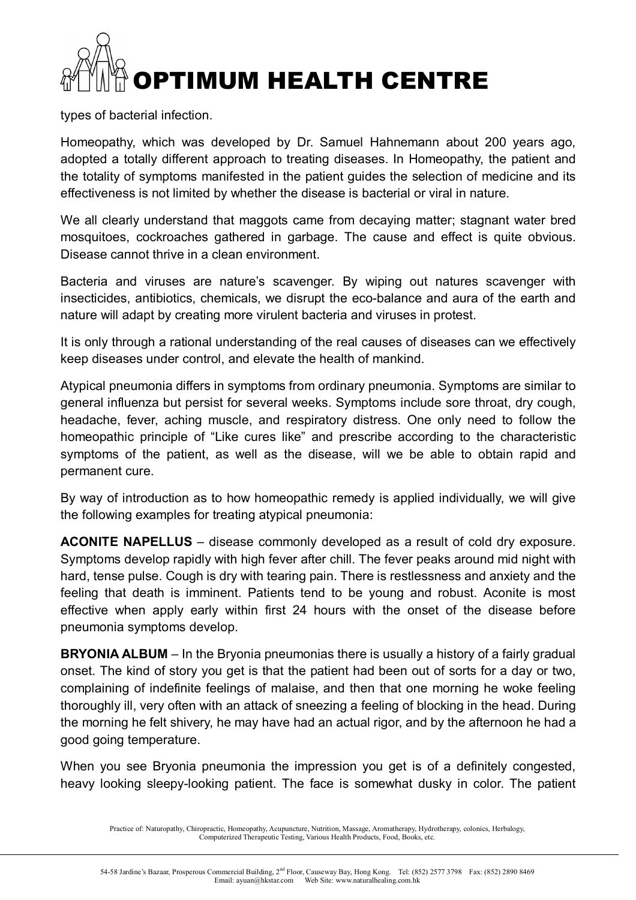types of bacterial infection.

Homeopathy, which was developed by Dr. Samuel Hahnemann about 200 years ago, adopted a totally different approach to treating diseases. In Homeopathy, the patient and the totality of symptoms manifested in the patient guides the selection of medicine and its effectiveness is not limited by whether the disease is bacterial or viral in nature.

We all clearly understand that maggots came from decaying matter; stagnant water bred mosquitoes, cockroaches gathered in garbage. The cause and effect is quite obvious. Disease cannot thrive in a clean environment.

Bacteria and viruses are nature's scavenger. By wiping out natures scavenger with insecticides, antibiotics, chemicals, we disrupt the eco-balance and aura of the earth and nature will adapt by creating more virulent bacteria and viruses in protest.

It is only through a rational understanding of the real causes of diseases can we effectively keep diseases under control, and elevate the health of mankind.

Atypical pneumonia differs in symptoms from ordinary pneumonia. Symptoms are similar to general influenza but persist for several weeks. Symptoms include sore throat, dry cough, headache, fever, aching muscle, and respiratory distress. One only need to follow the homeopathic principle of "Like cures like" and prescribe according to the characteristic symptoms of the patient, as well as the disease, will we be able to obtain rapid and permanent cure.

By way of introduction as to how homeopathic remedy is applied individually, we will give the following examples for treating atypical pneumonia:

**ACONITE NAPELLUS** – disease commonly developed as a result of cold dry exposure. Symptoms develop rapidly with high fever after chill. The fever peaks around mid night with hard, tense pulse. Cough is dry with tearing pain. There is restlessness and anxiety and the feeling that death is imminent. Patients tend to be young and robust. Aconite is most effective when apply early within first 24 hours with the onset of the disease before pneumonia symptoms develop.

**BRYONIA ALBUM** – In the Bryonia pneumonias there is usually a history of a fairly gradual onset. The kind of story you get is that the patient had been out of sorts for a day or two, complaining of indefinite feelings of malaise, and then that one morning he woke feeling thoroughly ill, very often with an attack of sneezing a feeling of blocking in the head. During the morning he felt shivery, he may have had an actual rigor, and by the afternoon he had a good going temperature.

When you see Bryonia pneumonia the impression you get is of a definitely congested, heavy looking sleepy-looking patient. The face is somewhat dusky in color. The patient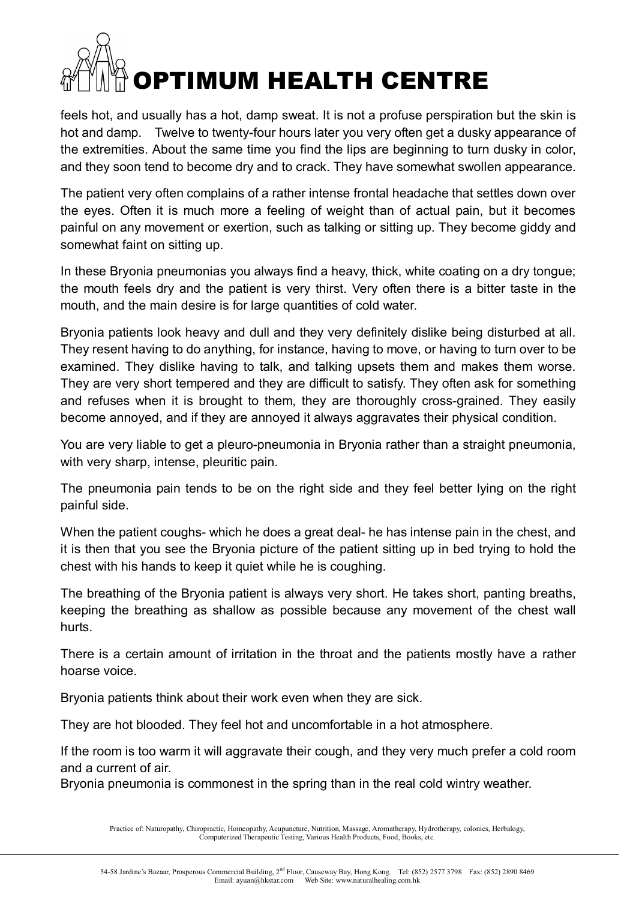feels hot, and usually has a hot, damp sweat. It is not a profuse perspiration but the skin is hot and damp. Twelve to twenty-four hours later you very often get a dusky appearance of the extremities. About the same time you find the lips are beginning to turn dusky in color, and they soon tend to become dry and to crack. They have somewhat swollen appearance.

The patient very often complains of a rather intense frontal headache that settles down over the eyes. Often it is much more a feeling of weight than of actual pain, but it becomes painful on any movement or exertion, such as talking or sitting up. They become giddy and somewhat faint on sitting up.

In these Bryonia pneumonias you always find a heavy, thick, white coating on a dry tongue; the mouth feels dry and the patient is very thirst. Very often there is a bitter taste in the mouth, and the main desire is for large quantities of cold water.

Bryonia patients look heavy and dull and they very definitely dislike being disturbed at all. They resent having to do anything, for instance, having to move, or having to turn over to be examined. They dislike having to talk, and talking upsets them and makes them worse. They are very short tempered and they are difficult to satisfy. They often ask for something and refuses when it is brought to them, they are thoroughly cross-grained. They easily become annoyed, and if they are annoyed it always aggravates their physical condition.

You are very liable to get a pleuro-pneumonia in Bryonia rather than a straight pneumonia, with very sharp, intense, pleuritic pain.

The pneumonia pain tends to be on the right side and they feel better lying on the right painful side.

When the patient coughs- which he does a great deal- he has intense pain in the chest, and it is then that you see the Bryonia picture of the patient sitting up in bed trying to hold the chest with his hands to keep it quiet while he is coughing.

The breathing of the Bryonia patient is always very short. He takes short, panting breaths, keeping the breathing as shallow as possible because any movement of the chest wall hurts.

There is a certain amount of irritation in the throat and the patients mostly have a rather hoarse voice.

Bryonia patients think about their work even when they are sick.

They are hot blooded. They feel hot and uncomfortable in a hot atmosphere.

If the room is too warm it will aggravate their cough, and they very much prefer a cold room and a current of air.

Bryonia pneumonia is commonest in the spring than in the real cold wintry weather.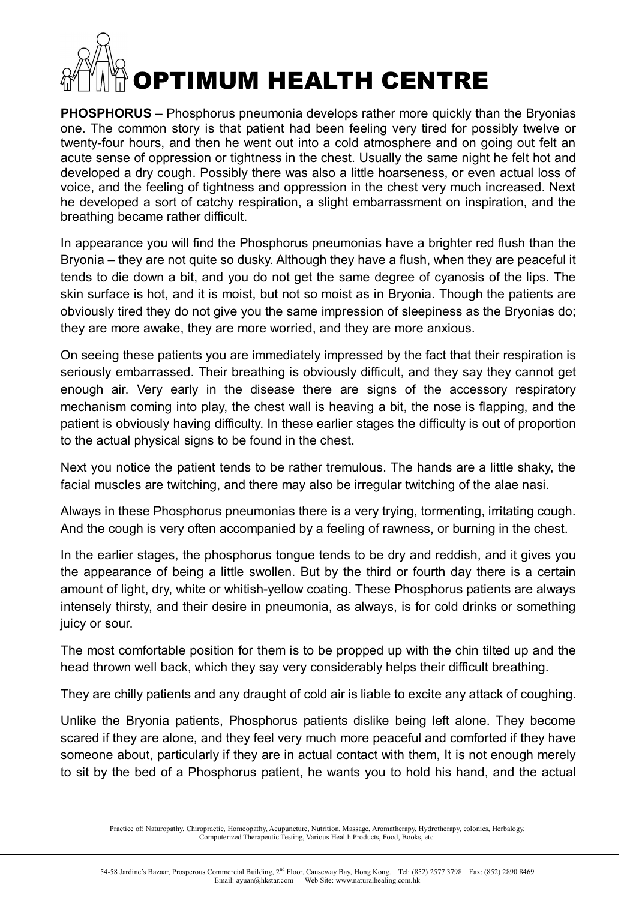**PHOSPHORUS** – Phosphorus pneumonia develops rather more quickly than the Bryonias one. The common story is that patient had been feeling very tired for possibly twelve or twenty-four hours, and then he went out into a cold atmosphere and on going out felt an acute sense of oppression or tightness in the chest. Usually the same night he felt hot and developed a dry cough. Possibly there was also a little hoarseness, or even actual loss of voice, and the feeling of tightness and oppression in the chest very much increased. Next he developed a sort of catchy respiration, a slight embarrassment on inspiration, and the breathing became rather difficult.

In appearance you will find the Phosphorus pneumonias have a brighter red flush than the Bryonia – they are not quite so dusky. Although they have a flush, when they are peaceful it tends to die down a bit, and you do not get the same degree of cyanosis of the lips. The skin surface is hot, and it is moist, but not so moist as in Bryonia. Though the patients are obviously tired they do not give you the same impression of sleepiness as the Bryonias do; they are more awake, they are more worried, and they are more anxious.

On seeing these patients you are immediately impressed by the fact that their respiration is seriously embarrassed. Their breathing is obviously difficult, and they say they cannot get enough air. Very early in the disease there are signs of the accessory respiratory mechanism coming into play, the chest wall is heaving a bit, the nose is flapping, and the patient is obviously having difficulty. In these earlier stages the difficulty is out of proportion to the actual physical signs to be found in the chest.

Next you notice the patient tends to be rather tremulous. The hands are a little shaky, the facial muscles are twitching, and there may also be irregular twitching of the alae nasi.

Always in these Phosphorus pneumonias there is a very trying, tormenting, irritating cough. And the cough is very often accompanied by a feeling of rawness, or burning in the chest.

In the earlier stages, the phosphorus tongue tends to be dry and reddish, and it gives you the appearance of being a little swollen. But by the third or fourth day there is a certain amount of light, dry, white or whitish-yellow coating. These Phosphorus patients are always intensely thirsty, and their desire in pneumonia, as always, is for cold drinks or something juicy or sour.

The most comfortable position for them is to be propped up with the chin tilted up and the head thrown well back, which they say very considerably helps their difficult breathing.

They are chilly patients and any draught of cold air is liable to excite any attack of coughing.

Unlike the Bryonia patients, Phosphorus patients dislike being left alone. They become scared if they are alone, and they feel very much more peaceful and comforted if they have someone about, particularly if they are in actual contact with them, It is not enough merely to sit by the bed of a Phosphorus patient, he wants you to hold his hand, and the actual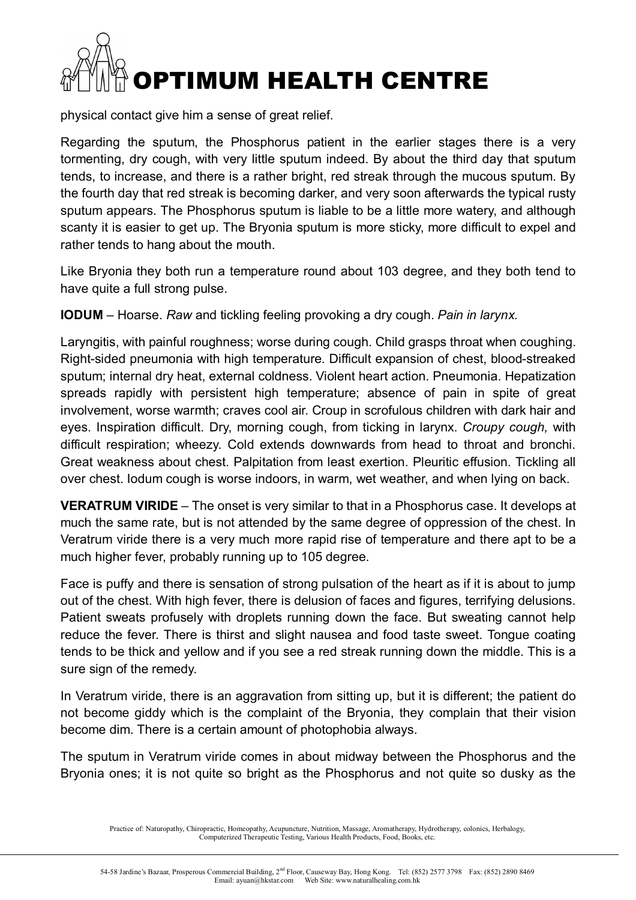physical contact give him a sense of great relief.

Regarding the sputum, the Phosphorus patient in the earlier stages there is a very tormenting, dry cough, with very little sputum indeed. By about the third day that sputum tends, to increase, and there is a rather bright, red streak through the mucous sputum. By the fourth day that red streak is becoming darker, and very soon afterwards the typical rusty sputum appears. The Phosphorus sputum is liable to be a little more watery, and although scanty it is easier to get up. The Bryonia sputum is more sticky, more difficult to expel and rather tends to hang about the mouth.

Like Bryonia they both run a temperature round about 103 degree, and they both tend to have quite a full strong pulse.

**IODUM** – Hoarse. *Raw* and tickling feeling provoking a dry cough. *Pain in larynx.*

Laryngitis, with painful roughness; worse during cough. Child grasps throat when coughing. Right-sided pneumonia with high temperature. Difficult expansion of chest, blood-streaked sputum; internal dry heat, external coldness. Violent heart action. Pneumonia. Hepatization spreads rapidly with persistent high temperature; absence of pain in spite of great involvement, worse warmth; craves cool air. Croup in scrofulous children with dark hair and eyes. Inspiration difficult. Dry, morning cough, from ticking in larynx. *Croupy cough,* with difficult respiration; wheezy. Cold extends downwards from head to throat and bronchi. Great weakness about chest. Palpitation from least exertion. Pleuritic effusion. Tickling all over chest. Iodum cough is worse indoors, in warm, wet weather, and when lying on back.

**VERATRUM VIRIDE** – The onset is very similar to that in a Phosphorus case. It develops at much the same rate, but is not attended by the same degree of oppression of the chest. In Veratrum viride there is a very much more rapid rise of temperature and there apt to be a much higher fever, probably running up to 105 degree.

Face is puffy and there is sensation of strong pulsation of the heart as if it is about to jump out of the chest. With high fever, there is delusion of faces and figures, terrifying delusions. Patient sweats profusely with droplets running down the face. But sweating cannot help reduce the fever. There is thirst and slight nausea and food taste sweet. Tongue coating tends to be thick and yellow and if you see a red streak running down the middle. This is a sure sign of the remedy.

In Veratrum viride, there is an aggravation from sitting up, but it is different; the patient do not become giddy which is the complaint of the Bryonia, they complain that their vision become dim. There is a certain amount of photophobia always.

The sputum in Veratrum viride comes in about midway between the Phosphorus and the Bryonia ones; it is not quite so bright as the Phosphorus and not quite so dusky as the